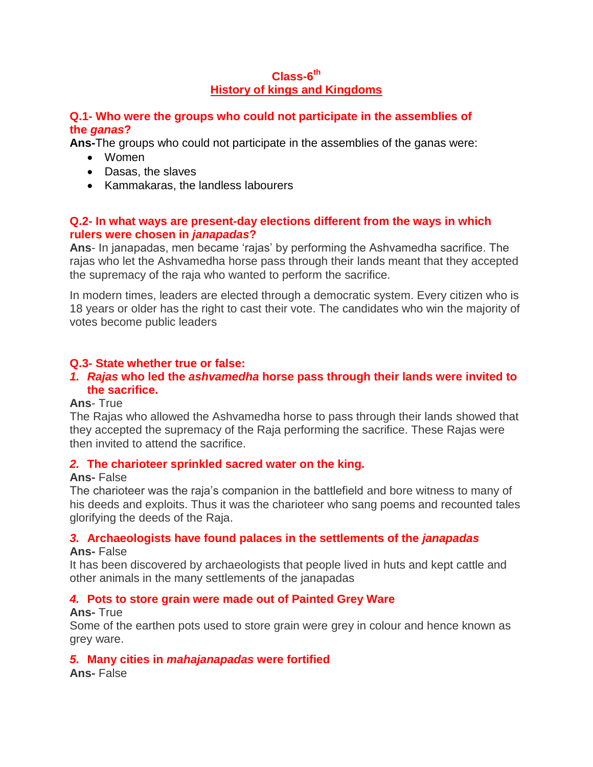## **Class-6 th History of kings and Kingdoms**

#### **Q.1- Who were the groups who could not participate in the assemblies of the** *ganas***?**

**Ans-**The groups who could not participate in the assemblies of the ganas were:

- Women
- Dasas, the slaves
- Kammakaras, the landless labourers

## **Q.2- In what ways are present-day elections different from the ways in which rulers were chosen in** *janapadas***?**

**Ans**- In janapadas, men became 'rajas' by performing the Ashvamedha sacrifice. The rajas who let the Ashvamedha horse pass through their lands meant that they accepted the supremacy of the raja who wanted to perform the sacrifice.

In modern times, leaders are elected through a democratic system. Every citizen who is 18 years or older has the right to cast their vote. The candidates who win the majority of votes become public leaders

## **Q.3- State whether true or false:**

#### *1. Rajas* **who led the** *ashvamedha* **horse pass through their lands were invited to the sacrifice.**

#### **Ans**- True

The Rajas who allowed the Ashvamedha horse to pass through their lands showed that they accepted the supremacy of the Raja performing the sacrifice. These Rajas were then invited to attend the sacrifice.

#### *2.* **The charioteer sprinkled sacred water on the king.**

#### **Ans-** False

The charioteer was the raja's companion in the battlefield and bore witness to many of his deeds and exploits. Thus it was the charioteer who sang poems and recounted tales glorifying the deeds of the Raja.

## *3.* **Archaeologists have found palaces in the settlements of the** *janapadas*

#### **Ans-** False

It has been discovered by archaeologists that people lived in huts and kept cattle and other animals in the many settlements of the janapadas

## *4.* **Pots to store grain were made out of Painted Grey Ware**

#### **Ans-** True

Some of the earthen pots used to store grain were grey in colour and hence known as grey ware.

## *5.* **Many cities in** *mahajanapadas* **were fortified**

**Ans-** False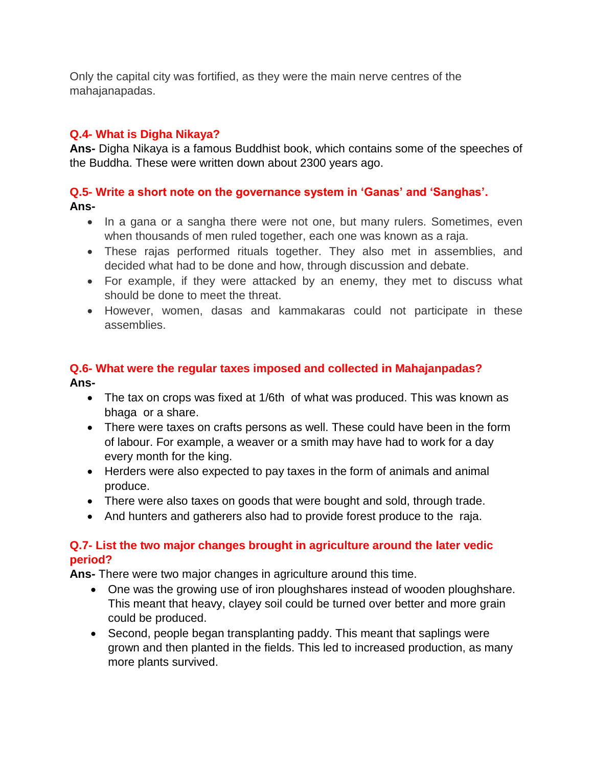Only the capital city was fortified, as they were the main nerve centres of the mahajanapadas.

## **Q.4- What is Digha Nikaya?**

**Ans-** Digha Nikaya is a famous Buddhist book, which contains some of the speeches of the Buddha. These were written down about 2300 years ago.

## **Q.5- Write a short note on the governance system in 'Ganas' and 'Sanghas'.**

**Ans-**

- In a gana or a sangha there were not one, but many rulers. Sometimes, even when thousands of men ruled together, each one was known as a raja.
- These rajas performed rituals together. They also met in assemblies, and decided what had to be done and how, through discussion and debate.
- For example, if they were attacked by an enemy, they met to discuss what should be done to meet the threat.
- However, women, dasas and kammakaras could not participate in these assemblies.

## **Q.6- What were the regular taxes imposed and collected in Mahajanpadas? Ans-**

- The tax on crops was fixed at 1/6th of what was produced. This was known as bhaga or a share.
- There were taxes on crafts persons as well. These could have been in the form of labour. For example, a weaver or a smith may have had to work for a day every month for the king.
- Herders were also expected to pay taxes in the form of animals and animal produce.
- There were also taxes on goods that were bought and sold, through trade.
- And hunters and gatherers also had to provide forest produce to the raja.

## **Q.7- List the two major changes brought in agriculture around the later vedic period?**

**Ans-** There were two major changes in agriculture around this time.

- One was the growing use of iron ploughshares instead of wooden ploughshare. This meant that heavy, clayey soil could be turned over better and more grain could be produced.
- Second, people began transplanting paddy. This meant that saplings were grown and then planted in the fields. This led to increased production, as many more plants survived.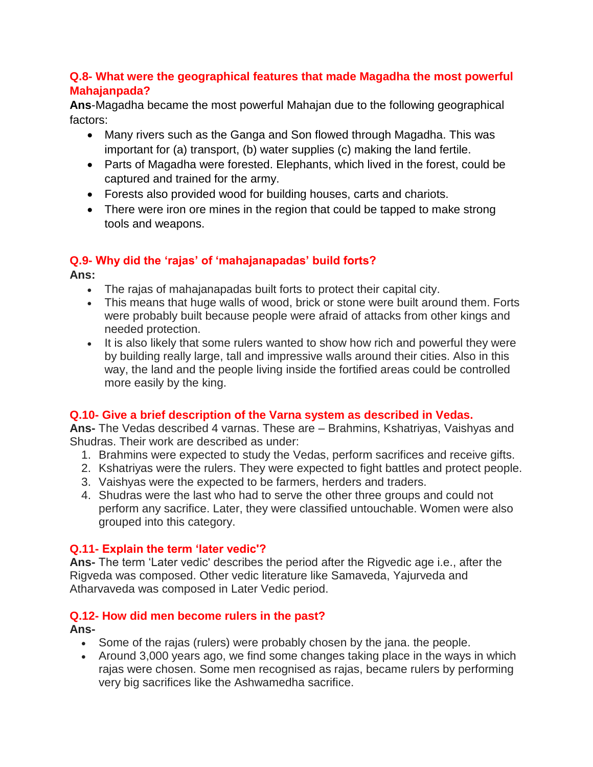## **Q.8- What were the geographical features that made Magadha the most powerful Mahajanpada?**

**Ans**-Magadha became the most powerful Mahajan due to the following geographical factors:

- Many rivers such as the Ganga and Son flowed through Magadha. This was important for (a) transport, (b) water supplies (c) making the land fertile.
- Parts of Magadha were forested. Elephants, which lived in the forest, could be captured and trained for the army.
- Forests also provided wood for building houses, carts and chariots.
- There were iron ore mines in the region that could be tapped to make strong tools and weapons.

## **Q.9- Why did the 'rajas' of 'mahajanapadas' build forts?**

**Ans:** 

- The rajas of mahajanapadas built forts to protect their capital city.
- This means that huge walls of wood, brick or stone were built around them. Forts were probably built because people were afraid of attacks from other kings and needed protection.
- It is also likely that some rulers wanted to show how rich and powerful they were by building really large, tall and impressive walls around their cities. Also in this way, the land and the people living inside the fortified areas could be controlled more easily by the king.

## **Q.10- Give a brief description of the Varna system as described in Vedas.**

**Ans-** The Vedas described 4 varnas. These are – Brahmins, Kshatriyas, Vaishyas and Shudras. Their work are described as under:

- 1. Brahmins were expected to study the Vedas, perform sacrifices and receive gifts.
- 2. Kshatriyas were the rulers. They were expected to fight battles and protect people.
- 3. Vaishyas were the expected to be farmers, herders and traders.
- 4. Shudras were the last who had to serve the other three groups and could not perform any sacrifice. Later, they were classified untouchable. Women were also grouped into this category.

## **Q.11- Explain the term 'later vedic'?**

**Ans-** The term 'Later vedic' describes the period after the Rigvedic age i.e., after the Rigveda was composed. Other vedic literature like Samaveda, Yajurveda and Atharvaveda was composed in Later Vedic period.

## **Q.12- How did men become rulers in the past?**

## **Ans-**

- Some of the rajas (rulers) were probably chosen by the jana. the people.
- Around 3,000 years ago, we find some changes taking place in the ways in which rajas were chosen. Some men recognised as rajas, became rulers by performing very big sacrifices like the Ashwamedha sacrifice.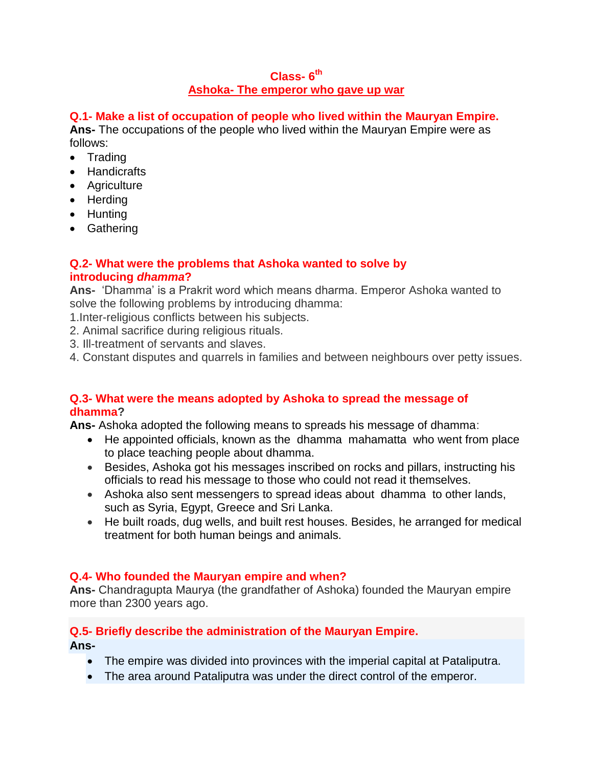## **Class- 6 th Ashoka- The emperor who gave up war**

## **Q.1- Make a list of occupation of people who lived within the Mauryan Empire.**

**Ans-** The occupations of the people who lived within the Mauryan Empire were as follows:

- Trading
- Handicrafts
- Agriculture
- Herding
- Hunting
- Gathering

## **Q.2- What were the problems that Ashoka wanted to solve by introducing** *dhamma***?**

**Ans-** 'Dhamma' is a Prakrit word which means dharma. Emperor Ashoka wanted to solve the following problems by introducing dhamma:

- 1.Inter-religious conflicts between his subjects.
- 2. Animal sacrifice during religious rituals.
- 3. Ill-treatment of servants and slaves.
- 4. Constant disputes and quarrels in families and between neighbours over petty issues.

## **Q.3- What were the means adopted by Ashoka to spread the message of dhamma?**

**Ans-** Ashoka adopted the following means to spreads his message of dhamma:

- He appointed officials, known as the dhamma mahamatta who went from place to place teaching people about dhamma.
- Besides, Ashoka got his messages inscribed on rocks and pillars, instructing his officials to read his message to those who could not read it themselves.
- Ashoka also sent messengers to spread ideas about dhamma to other lands, such as Syria, Egypt, Greece and Sri Lanka.
- He built roads, dug wells, and built rest houses. Besides, he arranged for medical treatment for both human beings and animals.

## **Q.4- Who founded the Mauryan empire and when?**

**Ans-** Chandragupta Maurya (the grandfather of Ashoka) founded the Mauryan empire more than 2300 years ago.

## **Q.5- Briefly describe the administration of the Mauryan Empire.**

**Ans-**

- The empire was divided into provinces with the imperial capital at Pataliputra.
- The area around Pataliputra was under the direct control of the emperor.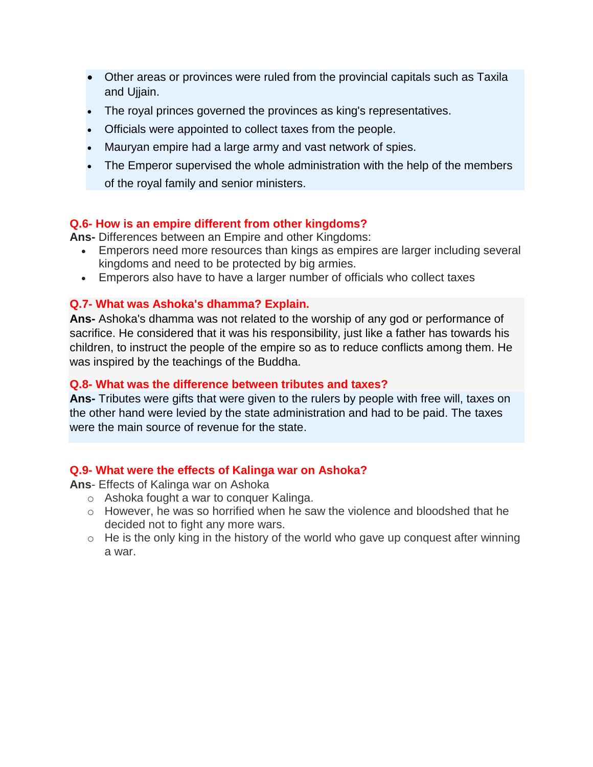- Other areas or provinces were ruled from the provincial capitals such as Taxila and Ujjain.
- The royal princes governed the provinces as king's representatives.
- Officials were appointed to collect taxes from the people.
- Mauryan empire had a large army and vast network of spies.
- The Emperor supervised the whole administration with the help of the members of the royal family and senior ministers.

## **Q.6- How is an empire different from other kingdoms?**

**Ans-** Differences between an Empire and other Kingdoms:

- Emperors need more resources than kings as empires are larger including several kingdoms and need to be protected by big armies.
- Emperors also have to have a larger number of officials who collect taxes

#### **Q.7- What was Ashoka's dhamma? Explain.**

**Ans-** Ashoka's dhamma was not related to the worship of any god or performance of sacrifice. He considered that it was his responsibility, just like a father has towards his children, to instruct the people of the empire so as to reduce conflicts among them. He was inspired by the teachings of the Buddha.

#### **Q.8- What was the difference between tributes and taxes?**

**Ans-** Tributes were gifts that were given to the rulers by people with free will, taxes on the other hand were levied by the state administration and had to be paid. The taxes were the main source of revenue for the state.

#### **Q.9- What were the effects of Kalinga war on Ashoka?**

**Ans**- Effects of Kalinga war on Ashoka

- o Ashoka fought a war to conquer Kalinga.
- o However, he was so horrified when he saw the violence and bloodshed that he decided not to fight any more wars.
- $\circ$  He is the only king in the history of the world who gave up conquest after winning a war.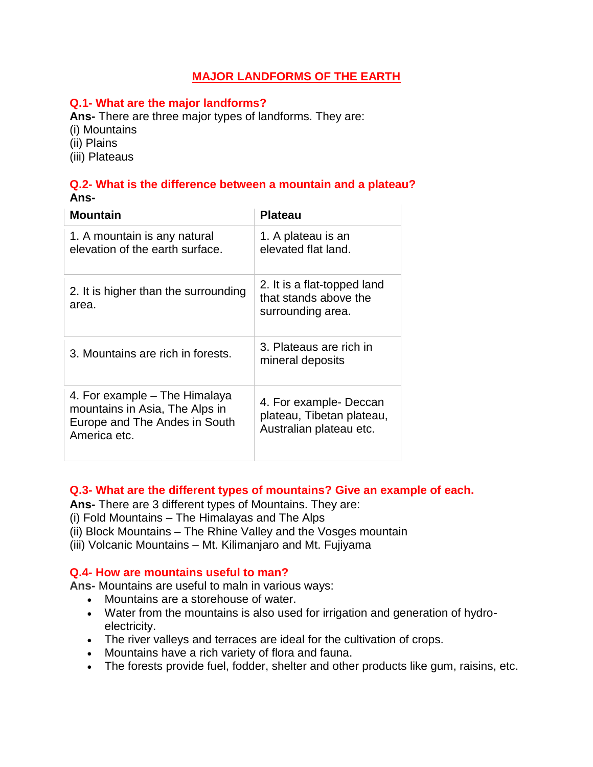## **MAJOR LANDFORMS OF THE EARTH**

#### **Q.1- What are the major landforms?**

**Ans-** There are three major types of landforms. They are:

(i) Mountains

(ii) Plains

(iii) Plateaus

#### **Q.2- What is the difference between a mountain and a plateau? Ans-**

| <b>Mountain</b>                                                                                                  | <b>Plateau</b>                                                                 |
|------------------------------------------------------------------------------------------------------------------|--------------------------------------------------------------------------------|
| 1. A mountain is any natural<br>elevation of the earth surface.                                                  | 1. A plateau is an<br>elevated flat land.                                      |
| 2. It is higher than the surrounding<br>area.                                                                    | 2. It is a flat-topped land<br>that stands above the<br>surrounding area.      |
| 3. Mountains are rich in forests.                                                                                | 3. Plateaus are rich in<br>mineral deposits                                    |
| 4. For example – The Himalaya<br>mountains in Asia, The Alps in<br>Europe and The Andes in South<br>America etc. | 4. For example- Deccan<br>plateau, Tibetan plateau,<br>Australian plateau etc. |

## **Q.3- What are the different types of mountains? Give an example of each.**

**Ans-** There are 3 different types of Mountains. They are:

(i) Fold Mountains – The Himalayas and The Alps

- (ii) Block Mountains The Rhine Valley and the Vosges mountain
- (iii) Volcanic Mountains Mt. Kilimanjaro and Mt. Fujiyama

#### **Q.4- How are mountains useful to man?**

**Ans-** Mountains are useful to maln in various ways:

- Mountains are a storehouse of water.
- Water from the mountains is also used for irrigation and generation of hydroelectricity.
- The river valleys and terraces are ideal for the cultivation of crops.
- Mountains have a rich variety of flora and fauna.
- The forests provide fuel, fodder, shelter and other products like gum, raisins, etc.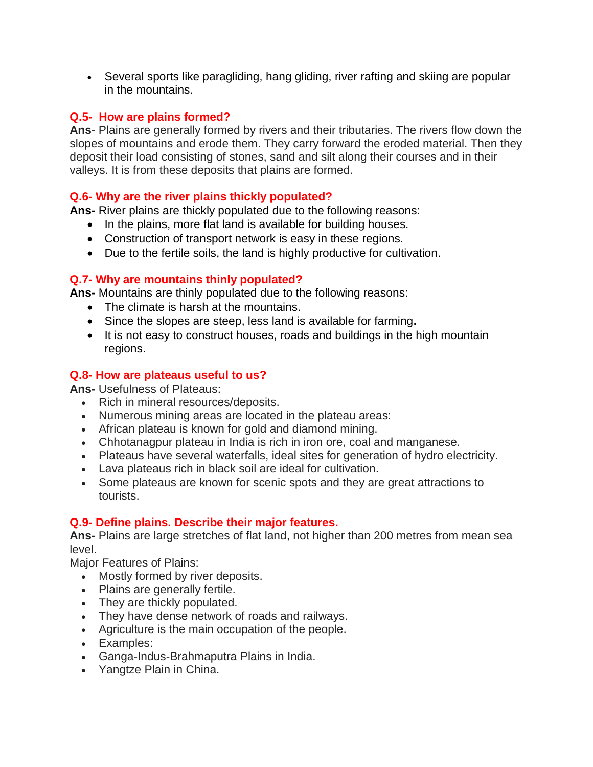Several sports like paragliding, hang gliding, river rafting and skiing are popular in the mountains.

#### **Q.5- How are plains formed?**

**Ans**- Plains are generally formed by rivers and their tributaries. The rivers flow down the slopes of mountains and erode them. They carry forward the eroded material. Then they deposit their load consisting of stones, sand and silt along their courses and in their valleys. It is from these deposits that plains are formed.

## **Q.6- Why are the river plains thickly populated?**

**Ans-** River plains are thickly populated due to the following reasons:

- In the plains, more flat land is available for building houses.
- Construction of transport network is easy in these regions.
- Due to the fertile soils, the land is highly productive for cultivation.

## **Q.7- Why are mountains thinly populated?**

**Ans-** Mountains are thinly populated due to the following reasons:

- The climate is harsh at the mountains.
- Since the slopes are steep, less land is available for farming**.**
- It is not easy to construct houses, roads and buildings in the high mountain regions.

## **Q.8- How are plateaus useful to us?**

**Ans-** Usefulness of Plateaus:

- Rich in mineral resources/deposits.
- Numerous mining areas are located in the plateau areas:
- African plateau is known for gold and diamond mining.
- Chhotanagpur plateau in India is rich in iron ore, coal and manganese.
- Plateaus have several waterfalls, ideal sites for generation of hydro electricity.
- Lava plateaus rich in black soil are ideal for cultivation.
- Some plateaus are known for scenic spots and they are great attractions to tourists.

#### **Q.9- Define plains. Describe their major features.**

**Ans-** Plains are large stretches of flat land, not higher than 200 metres from mean sea level.

Major Features of Plains:

- Mostly formed by river deposits.
- Plains are generally fertile.
- They are thickly populated.
- They have dense network of roads and railways.
- Agriculture is the main occupation of the people.
- Examples:
- Ganga-Indus-Brahmaputra Plains in India.
- Yangtze Plain in China.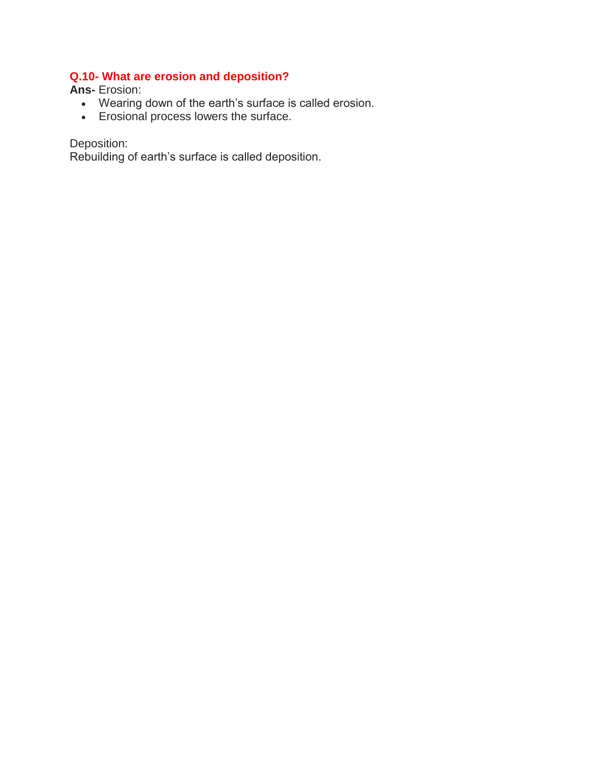## **Q.10- What are erosion and deposition?**

**Ans-** Erosion:

- Wearing down of the earth's surface is called erosion.
- Erosional process lowers the surface.

Deposition:

Rebuilding of earth's surface is called deposition.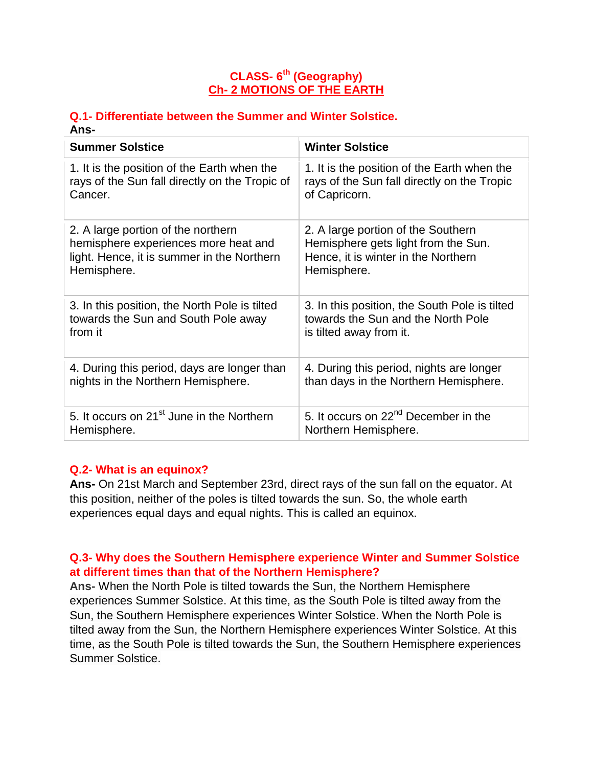## **CLASS- 6 th (Geography) Ch- 2 MOTIONS OF THE EARTH**

#### **Q.1- Differentiate between the Summer and Winter Solstice. Ans-**

| <b>Summer Solstice</b>                                | <b>Winter Solstice</b>                           |
|-------------------------------------------------------|--------------------------------------------------|
| 1. It is the position of the Earth when the           | 1. It is the position of the Earth when the      |
| rays of the Sun fall directly on the Tropic of        | rays of the Sun fall directly on the Tropic      |
| Cancer.                                               | of Capricorn.                                    |
| 2. A large portion of the northern                    | 2. A large portion of the Southern               |
| hemisphere experiences more heat and                  | Hemisphere gets light from the Sun.              |
| light. Hence, it is summer in the Northern            | Hence, it is winter in the Northern              |
| Hemisphere.                                           | Hemisphere.                                      |
| 3. In this position, the North Pole is tilted         | 3. In this position, the South Pole is tilted    |
| towards the Sun and South Pole away                   | towards the Sun and the North Pole               |
| from it                                               | is tilted away from it.                          |
| 4. During this period, days are longer than           | 4. During this period, nights are longer         |
| nights in the Northern Hemisphere.                    | than days in the Northern Hemisphere.            |
| 5. It occurs on 21 <sup>st</sup> June in the Northern | 5. It occurs on 22 <sup>nd</sup> December in the |
| Hemisphere.                                           | Northern Hemisphere.                             |

## **Q.2- What is an equinox?**

**Ans-** On 21st March and September 23rd, direct rays of the sun fall on the equator. At this position, neither of the poles is tilted towards the sun. So, the whole earth experiences equal days and equal nights. This is called an equinox.

## **Q.3- Why does the Southern Hemisphere experience Winter and Summer Solstice at different times than that of the Northern Hemisphere?**

**Ans-** When the North Pole is tilted towards the Sun, the Northern Hemisphere experiences Summer Solstice. At this time, as the South Pole is tilted away from the Sun, the Southern Hemisphere experiences Winter Solstice. When the North Pole is tilted away from the Sun, the Northern Hemisphere experiences Winter Solstice. At this time, as the South Pole is tilted towards the Sun, the Southern Hemisphere experiences Summer Solstice.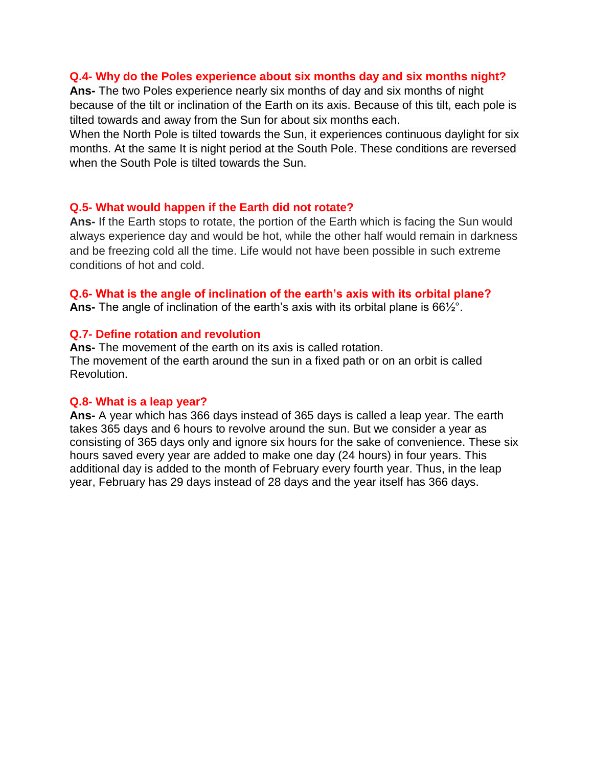#### **Q.4- Why do the Poles experience about six months day and six months night?**

**Ans-** The two Poles experience nearly six months of day and six months of night because of the tilt or inclination of the Earth on its axis. Because of this tilt, each pole is tilted towards and away from the Sun for about six months each.

When the North Pole is tilted towards the Sun, it experiences continuous daylight for six months. At the same It is night period at the South Pole. These conditions are reversed when the South Pole is tilted towards the Sun.

#### **Q.5- What would happen if the Earth did not rotate?**

**Ans-** If the Earth stops to rotate, the portion of the Earth which is facing the Sun would always experience day and would be hot, while the other half would remain in darkness and be freezing cold all the time. Life would not have been possible in such extreme conditions of hot and cold.

#### **Q.6- What is the angle of inclination of the earth's axis with its orbital plane?**

**Ans-** The angle of inclination of the earth's axis with its orbital plane is 66½°.

#### **Q.7- Define rotation and revolution**

**Ans-** The movement of the earth on its axis is called rotation. The movement of the earth around the sun in a fixed path or on an orbit is called Revolution.

#### **Q.8- What is a leap year?**

**Ans-** A year which has 366 days instead of 365 days is called a leap year. The earth takes 365 days and 6 hours to revolve around the sun. But we consider a year as consisting of 365 days only and ignore six hours for the sake of convenience. These six hours saved every year are added to make one day (24 hours) in four years. This additional day is added to the month of February every fourth year. Thus, in the leap year, February has 29 days instead of 28 days and the year itself has 366 days.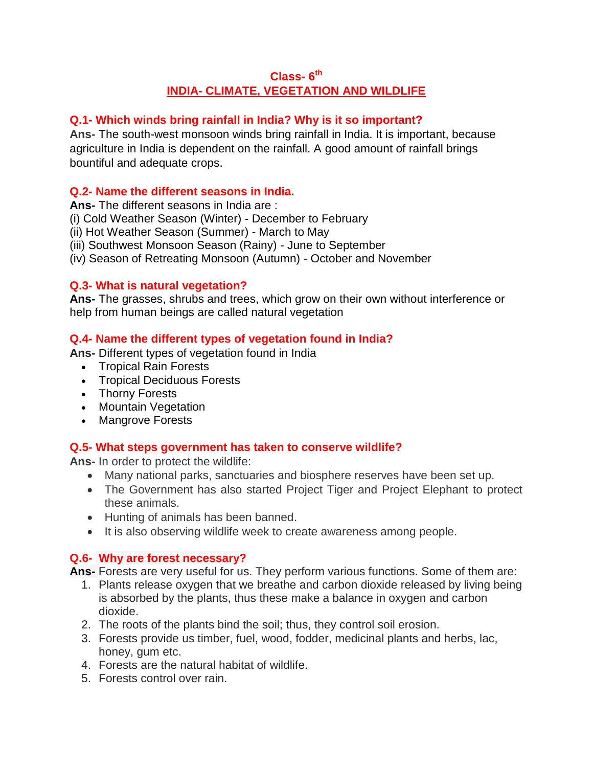## **Class- 6 th INDIA- CLIMATE, VEGETATION AND WILDLIFE**

## **Q.1- Which winds bring rainfall in India? Why is it so important?**

**Ans-** The south-west monsoon winds bring rainfall in India. It is important, because agriculture in India is dependent on the rainfall. A good amount of rainfall brings bountiful and adequate crops.

## **Q.2- Name the different seasons in India.**

**Ans-** The different seasons in India are :

(i) Cold Weather Season (Winter) - December to February

(ii) Hot Weather Season (Summer) - March to May

(iii) Southwest Monsoon Season (Rainy) - June to September

(iv) Season of Retreating Monsoon (Autumn) - October and November

## **Q.3- What is natural vegetation?**

**Ans-** The grasses, shrubs and trees, which grow on their own without interference or help from human beings are called natural vegetation

## **Q.4- Name the different types of vegetation found in India?**

**Ans-** Different types of vegetation found in India

- Tropical Rain Forests
- Tropical Deciduous Forests
- Thorny Forests
- Mountain Vegetation
- Mangrove Forests

## **Q.5- What steps government has taken to conserve wildlife?**

**Ans-** In order to protect the wildlife:

- Many national parks, sanctuaries and biosphere reserves have been set up.
- The Government has also started Project Tiger and Project Elephant to protect these animals.
- Hunting of animals has been banned.
- It is also observing wildlife week to create awareness among people.

## **Q.6- Why are forest necessary?**

**Ans-** Forests are very useful for us. They perform various functions. Some of them are:

- 1. Plants release oxygen that we breathe and carbon dioxide released by living being is absorbed by the plants, thus these make a balance in oxygen and carbon dioxide.
- 2. The roots of the plants bind the soil; thus, they control soil erosion.
- 3. Forests provide us timber, fuel, wood, fodder, medicinal plants and herbs, lac, honey, gum etc.
- 4. Forests are the natural habitat of wildlife.
- 5. Forests control over rain.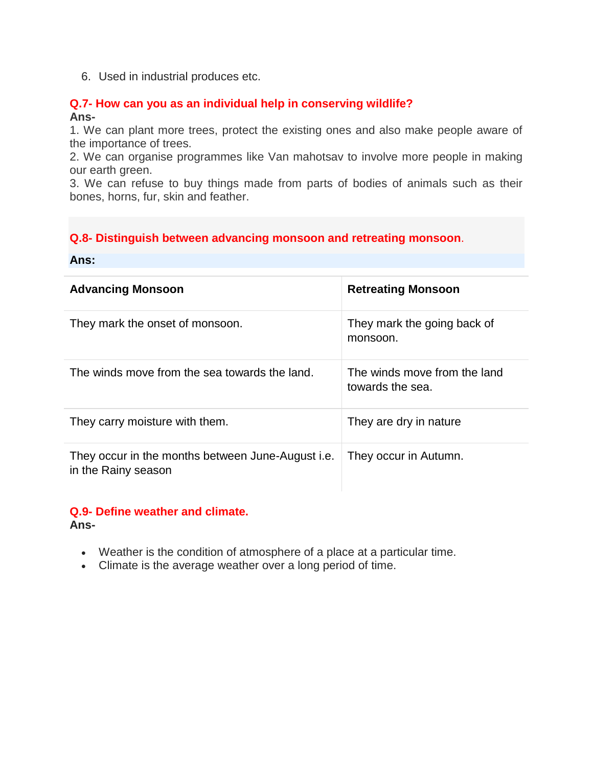6. Used in industrial produces etc.

#### **Q.7- How can you as an individual help in conserving wildlife? Ans-**

1. We can plant more trees, protect the existing ones and also make people aware of the importance of trees.

2. We can organise programmes like Van mahotsav to involve more people in making our earth green.

3. We can refuse to buy things made from parts of bodies of animals such as their bones, horns, fur, skin and feather.

## **Q.8- Distinguish between advancing monsoon and retreating monsoon**.

#### **Ans:**

| <b>Advancing Monsoon</b>                                                 | <b>Retreating Monsoon</b>                        |
|--------------------------------------------------------------------------|--------------------------------------------------|
| They mark the onset of monsoon.                                          | They mark the going back of<br>monsoon.          |
| The winds move from the sea towards the land.                            | The winds move from the land<br>towards the sea. |
| They carry moisture with them.                                           | They are dry in nature                           |
| They occur in the months between June-August i.e.<br>in the Rainy season | They occur in Autumn.                            |

#### **Q.9- Define weather and climate. Ans-**

- Weather is the condition of atmosphere of a place at a particular time.
- Climate is the average weather over a long period of time.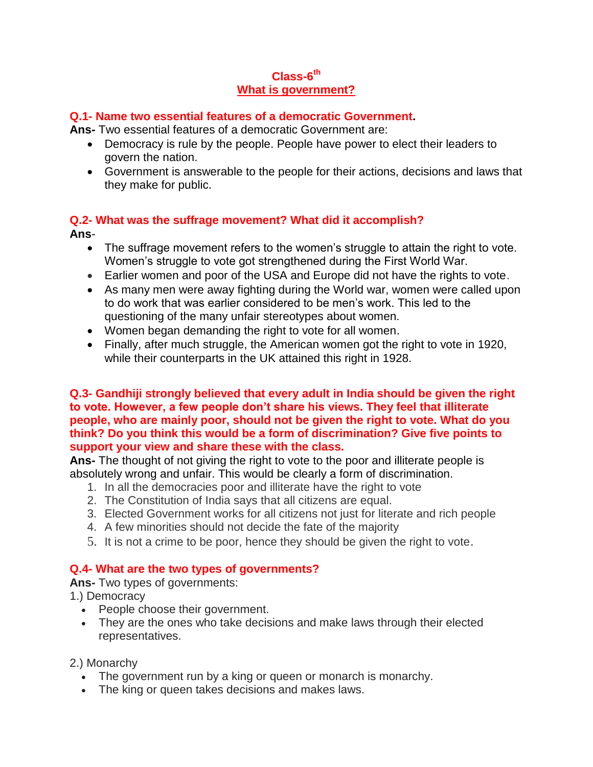## **Class-6 th What is government?**

#### **Q.1- Name two essential features of a democratic Government.**

**Ans-** Two essential features of a democratic Government are:

- Democracy is rule by the people. People have power to elect their leaders to govern the nation.
- Government is answerable to the people for their actions, decisions and laws that they make for public.

#### **Q.2- What was the suffrage movement? What did it accomplish? Ans**-

- The suffrage movement refers to the women's struggle to attain the right to vote. Women's struggle to vote got strengthened during the First World War.
- Earlier women and poor of the USA and Europe did not have the rights to vote.
- As many men were away fighting during the World war, women were called upon to do work that was earlier considered to be men's work. This led to the questioning of the many unfair stereotypes about women.
- Women began demanding the right to vote for all women.
- Finally, after much struggle, the American women got the right to vote in 1920, while their counterparts in the UK attained this right in 1928.

#### **Q.3- Gandhiji strongly believed that every adult in India should be given the right to vote. However, a few people don't share his views. They feel that illiterate people, who are mainly poor, should not be given the right to vote. What do you think? Do you think this would be a form of discrimination? Give five points to support your view and share these with the class.**

**Ans-** The thought of not giving the right to vote to the poor and illiterate people is absolutely wrong and unfair. This would be clearly a form of discrimination.

- 1. In all the democracies poor and illiterate have the right to vote
- 2. The Constitution of India says that all citizens are equal.
- 3. Elected Government works for all citizens not just for literate and rich people
- 4. A few minorities should not decide the fate of the majority
- 5. It is not a crime to be poor, hence they should be given the right to vote.

## **Q.4- What are the two types of governments?**

**Ans-** Two types of governments:

- 1.) Democracy
	- People choose their government.
	- They are the ones who take decisions and make laws through their elected representatives.

2.) Monarchy

- The government run by a king or queen or monarch is monarchy.
- The king or queen takes decisions and makes laws.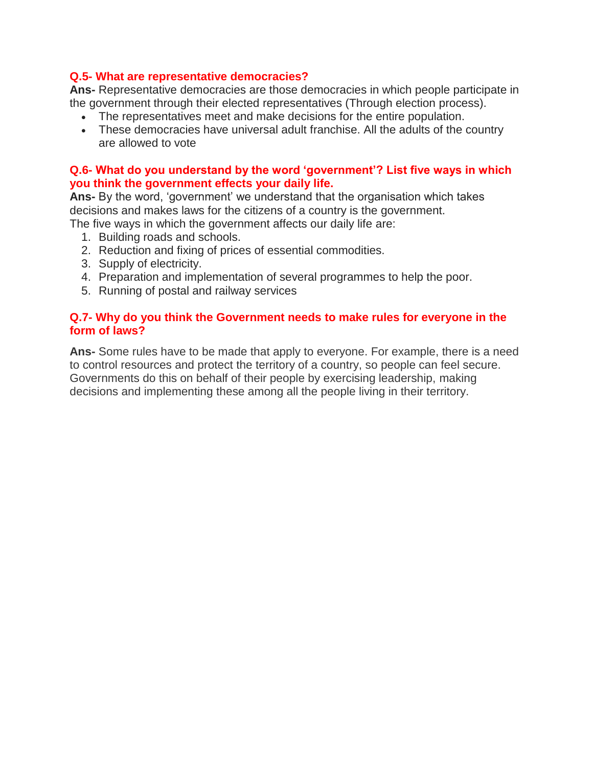#### **Q.5- What are representative democracies?**

**Ans-** Representative democracies are those democracies in which people participate in the government through their elected representatives (Through election process).

- The representatives meet and make decisions for the entire population.
- These democracies have universal adult franchise. All the adults of the country are allowed to vote

#### **Q.6- What do you understand by the word 'government'? List five ways in which you think the government effects your daily life.**

**Ans-** By the word, 'government' we understand that the organisation which takes decisions and makes laws for the citizens of a country is the government.

The five ways in which the government affects our daily life are:

- 1. Building roads and schools.
- 2. Reduction and fixing of prices of essential commodities.
- 3. Supply of electricity.
- 4. Preparation and implementation of several programmes to help the poor.
- 5. Running of postal and railway services

#### **Q.7- Why do you think the Government needs to make rules for everyone in the form of laws?**

**Ans-** Some rules have to be made that apply to everyone. For example, there is a need to control resources and protect the territory of a country, so people can feel secure. Governments do this on behalf of their people by exercising leadership, making decisions and implementing these among all the people living in their territory.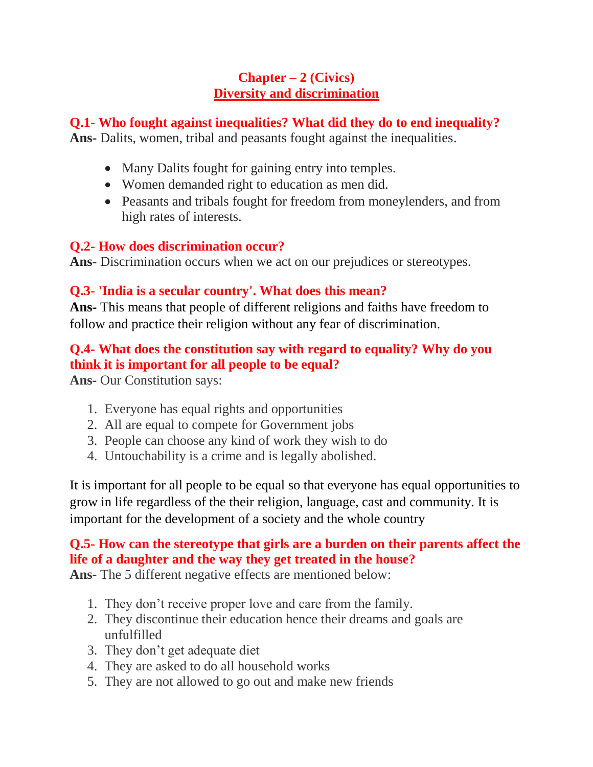# **Chapter – 2 (Civics) Diversity and discrimination**

## **Q.1- Who fought against inequalities? What did they do to end inequality?**

**Ans-** Dalits, women, tribal and peasants fought against the inequalities.

- Many Dalits fought for gaining entry into temples.
- Women demanded right to education as men did.
- Peasants and tribals fought for freedom from moneylenders, and from high rates of interests.

# **Q.2- How does discrimination occur?**

**Ans-** Discrimination occurs when we act on our prejudices or stereotypes.

# **Q.3- 'India is a secular country'. What does this mean?**

**Ans-** This means that people of different religions and faiths have freedom to follow and practice their religion without any fear of discrimination.

# **Q.4- What does the constitution say with regard to equality? Why do you think it is important for all people to be equal?**

**Ans-** Our Constitution says:

- 1. Everyone has equal rights and opportunities
- 2. All are equal to compete for Government jobs
- 3. People can choose any kind of work they wish to do
- 4. Untouchability is a crime and is legally abolished.

It is important for all people to be equal so that everyone has equal opportunities to grow in life regardless of the their religion, language, cast and community. It is important for the development of a society and the whole country

# **Q.5- How can the stereotype that girls are a burden on their parents affect the life of a daughter and the way they get treated in the house?**

**Ans**- The 5 different negative effects are mentioned below:

- 1. They don't receive proper love and care from the family.
- 2. They discontinue their education hence their dreams and goals are unfulfilled
- 3. They don't get adequate diet
- 4. They are asked to do all household works
- 5. They are not allowed to go out and make new friends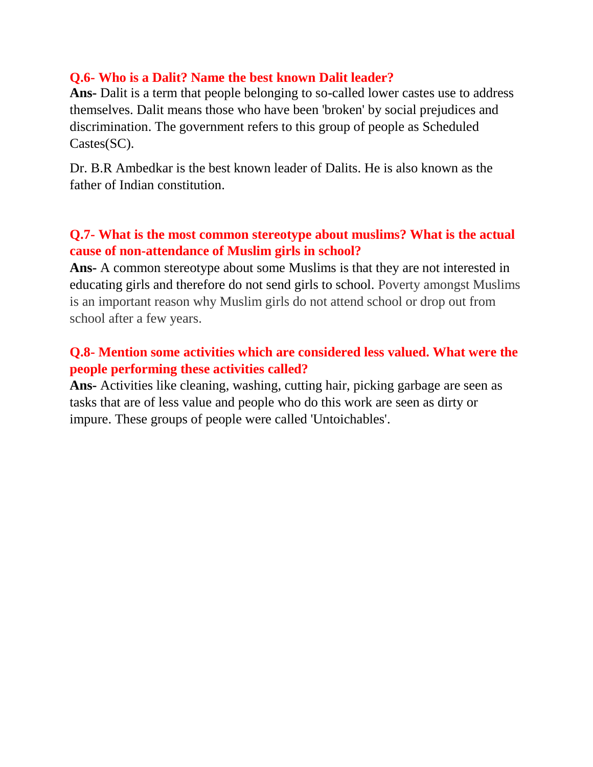## **Q.6- Who is a Dalit? Name the best known Dalit leader?**

**Ans-** Dalit is a term that people belonging to so-called lower castes use to address themselves. Dalit means those who have been 'broken' by social prejudices and discrimination. The government refers to this group of people as Scheduled Castes(SC).

Dr. B.R Ambedkar is the best known leader of Dalits. He is also known as the father of Indian constitution.

# **Q.7- What is the most common stereotype about muslims? What is the actual cause of non-attendance of Muslim girls in school?**

**Ans-** A common stereotype about some Muslims is that they are not interested in educating girls and therefore do not send girls to school. Poverty amongst Muslims is an important reason why Muslim girls do not attend school or drop out from school after a few years.

# **Q.8- Mention some activities which are considered less valued. What were the people performing these activities called?**

**Ans-** Activities like cleaning, washing, cutting hair, picking garbage are seen as tasks that are of less value and people who do this work are seen as dirty or impure. These groups of people were called 'Untoichables'.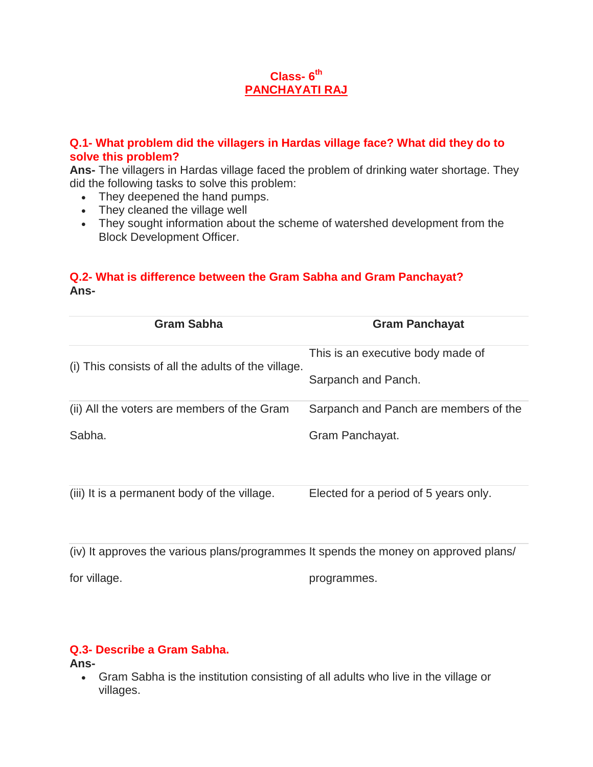## **Class- 6 th PANCHAYATI RAJ**

## **Q.1- What problem did the villagers in Hardas village face? What did they do to solve this problem?**

**Ans-** The villagers in Hardas village faced the problem of drinking water shortage. They did the following tasks to solve this problem:

- They deepened the hand pumps.
- They cleaned the village well
- They sought information about the scheme of watershed development from the Block Development Officer.

## **Q.2- What is difference between the Gram Sabha and Gram Panchayat? Ans-**

| <b>Gram Sabha</b>                                   | <b>Gram Panchayat</b>                 |
|-----------------------------------------------------|---------------------------------------|
|                                                     | This is an executive body made of     |
| (i) This consists of all the adults of the village. | Sarpanch and Panch.                   |
| (ii) All the voters are members of the Gram         | Sarpanch and Panch are members of the |
| Sabha.                                              | Gram Panchayat.                       |
|                                                     |                                       |
| (iii) It is a permanent body of the village.        | Elected for a period of 5 years only. |

(iv) It approves the various plans/programmes It spends the money on approved plans/

for village.

programmes.

## **Q.3- Describe a Gram Sabha.**

**Ans-**

 Gram Sabha is the institution consisting of all adults who live in the village or villages.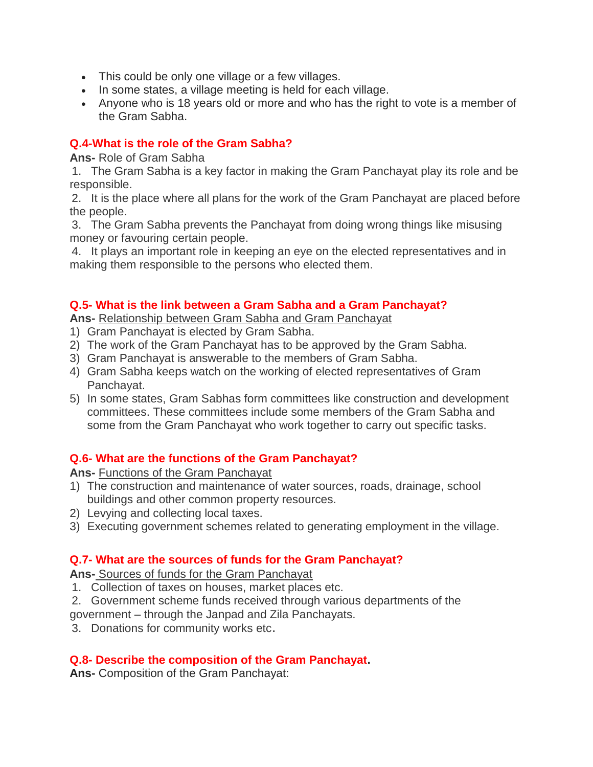- This could be only one village or a few villages.
- In some states, a village meeting is held for each village.
- Anyone who is 18 years old or more and who has the right to vote is a member of the Gram Sabha.

## **Q.4-What is the role of the Gram Sabha?**

**Ans-** Role of Gram Sabha

1. The Gram Sabha is a key factor in making the Gram Panchayat play its role and be responsible.

2. It is the place where all plans for the work of the Gram Panchayat are placed before the people.

3. The Gram Sabha prevents the Panchayat from doing wrong things like misusing money or favouring certain people.

4. It plays an important role in keeping an eye on the elected representatives and in making them responsible to the persons who elected them.

## **Q.5- What is the link between a Gram Sabha and a Gram Panchayat?**

**Ans-** Relationship between Gram Sabha and Gram Panchayat

- 1) Gram Panchayat is elected by Gram Sabha.
- 2) The work of the Gram Panchayat has to be approved by the Gram Sabha.
- 3) Gram Panchayat is answerable to the members of Gram Sabha.
- 4) Gram Sabha keeps watch on the working of elected representatives of Gram Panchayat.
- 5) In some states, Gram Sabhas form committees like construction and development committees. These committees include some members of the Gram Sabha and some from the Gram Panchayat who work together to carry out specific tasks.

## **Q.6- What are the functions of the Gram Panchayat?**

**Ans-** Functions of the Gram Panchayat

- 1) The construction and maintenance of water sources, roads, drainage, school buildings and other common property resources.
- 2) Levying and collecting local taxes.
- 3) Executing government schemes related to generating employment in the village.

## **Q.7- What are the sources of funds for the Gram Panchayat?**

**Ans-** Sources of funds for the Gram Panchayat

- 1. Collection of taxes on houses, market places etc.
- 2. Government scheme funds received through various departments of the
- government through the Janpad and Zila Panchayats.
- 3. Donations for community works etc.

## **Q.8- Describe the composition of the Gram Panchayat.**

**Ans-** Composition of the Gram Panchayat: